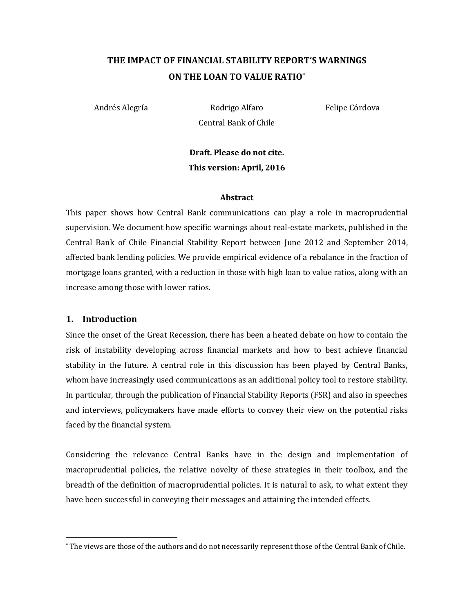# **THE IMPACT OF FINANCIAL STABILITY REPORT'S WARNINGS ON THE LOAN TO VALUE RATIO**\*

Andrés Alegría **Rodrigo Alfaro** Felipe Córdova Central Bank of Chile

**Draft. Please do not cite. This version: April, 2016**

#### **Abstract**

This paper shows how Central Bank communications can play a role in macroprudential supervision. We document how specific warnings about real-estate markets, published in the Central Bank of Chile Financial Stability Report between June 2012 and September 2014, affected bank lending policies. We provide empirical evidence of a rebalance in the fraction of mortgage loans granted, with a reduction in those with high loan to value ratios, along with an increase among those with lower ratios.

### **1. Introduction**

l

Since the onset of the Great Recession, there has been a heated debate on how to contain the risk of instability developing across financial markets and how to best achieve financial stability in the future. A central role in this discussion has been played by Central Banks, whom have increasingly used communications as an additional policy tool to restore stability. In particular, through the publication of Financial Stability Reports (FSR) and also in speeches and interviews, policymakers have made efforts to convey their view on the potential risks faced by the financial system.

Considering the relevance Central Banks have in the design and implementation of macroprudential policies, the relative novelty of these strategies in their toolbox, and the breadth of the definition of macroprudential policies. It is natural to ask, to what extent they have been successful in conveying their messages and attaining the intended effects.

<sup>\*</sup> The views are those of the authors and do not necessarily represent those of the Central Bank of Chile.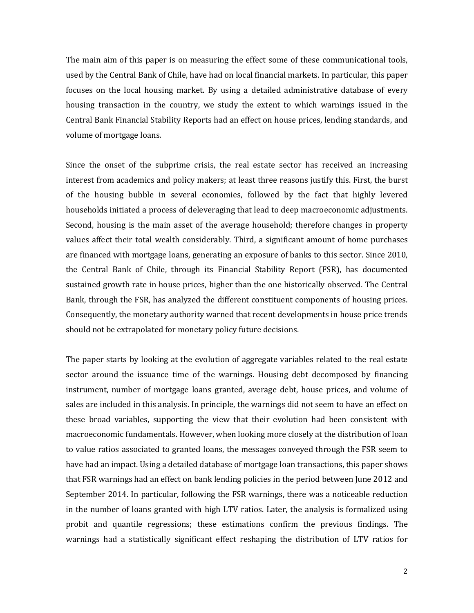The main aim of this paper is on measuring the effect some of these communicational tools, used by the Central Bank of Chile, have had on local financial markets. In particular, this paper focuses on the local housing market. By using a detailed administrative database of every housing transaction in the country, we study the extent to which warnings issued in the Central Bank Financial Stability Reports had an effect on house prices, lending standards, and volume of mortgage loans.

Since the onset of the subprime crisis, the real estate sector has received an increasing interest from academics and policy makers; at least three reasons justify this. First, the burst of the housing bubble in several economies, followed by the fact that highly levered households initiated a process of deleveraging that lead to deep macroeconomic adjustments. Second, housing is the main asset of the average household; therefore changes in property values affect their total wealth considerably. Third, a significant amount of home purchases are financed with mortgage loans, generating an exposure of banks to this sector. Since 2010, the Central Bank of Chile, through its Financial Stability Report (FSR), has documented sustained growth rate in house prices, higher than the one historically observed. The Central Bank, through the FSR, has analyzed the different constituent components of housing prices. Consequently, the monetary authority warned that recent developments in house price trends should not be extrapolated for monetary policy future decisions.

The paper starts by looking at the evolution of aggregate variables related to the real estate sector around the issuance time of the warnings. Housing debt decomposed by financing instrument, number of mortgage loans granted, average debt, house prices, and volume of sales are included in this analysis. In principle, the warnings did not seem to have an effect on these broad variables, supporting the view that their evolution had been consistent with macroeconomic fundamentals. However, when looking more closely at the distribution of loan to value ratios associated to granted loans, the messages conveyed through the FSR seem to have had an impact. Using a detailed database of mortgage loan transactions, this paper shows that FSR warnings had an effect on bank lending policies in the period between June 2012 and September 2014. In particular, following the FSR warnings, there was a noticeable reduction in the number of loans granted with high LTV ratios. Later, the analysis is formalized using probit and quantile regressions; these estimations confirm the previous findings. The warnings had a statistically significant effect reshaping the distribution of LTV ratios for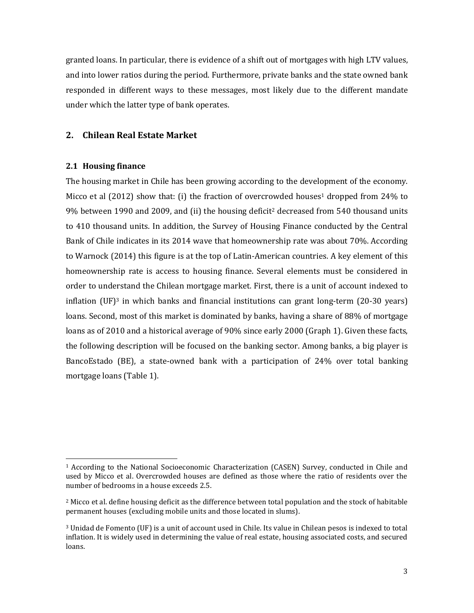granted loans. In particular, there is evidence of a shift out of mortgages with high LTV values, and into lower ratios during the period. Furthermore, private banks and the state owned bank responded in different ways to these messages, most likely due to the different mandate under which the latter type of bank operates.

# **2. Chilean Real Estate Market**

### **2.1 Housing finance**

l

The housing market in Chile has been growing according to the development of the economy. Micco et al  $(2012)$  show that: (i) the fraction of overcrowded houses<sup>1</sup> dropped from 24% to 9% between 1990 and 2009, and (ii) the housing deficit<sup>2</sup> decreased from 540 thousand units to 410 thousand units. In addition, the Survey of Housing Finance conducted by the Central Bank of Chile indicates in its 2014 wave that homeownership rate was about 70%. According to Warnock (2014) this figure is at the top of Latin-American countries. A key element of this homeownership rate is access to housing finance. Several elements must be considered in order to understand the Chilean mortgage market. First, there is a unit of account indexed to inflation  $(UF)^3$  in which banks and financial institutions can grant long-term (20-30 years) loans. Second, most of this market is dominated by banks, having a share of 88% of mortgage loans as of 2010 and a historical average of 90% since early 2000 (Graph 1). Given these facts, the following description will be focused on the banking sector. Among banks, a big player is BancoEstado (BE), a state-owned bank with a participation of 24% over total banking mortgage loans (Table 1).

<sup>1</sup> According to the National Socioeconomic Characterization (CASEN) Survey, conducted in Chile and used by Micco et al. Overcrowded houses are defined as those where the ratio of residents over the number of bedrooms in a house exceeds 2.5.

<sup>&</sup>lt;sup>2</sup> Micco et al. define housing deficit as the difference between total population and the stock of habitable permanent houses (excluding mobile units and those located in slums).

<sup>3</sup> Unidad de Fomento (UF) is a unit of account used in Chile. Its value in Chilean pesos is indexed to total inflation. It is widely used in determining the value of real estate, housing associated costs, and secured loans.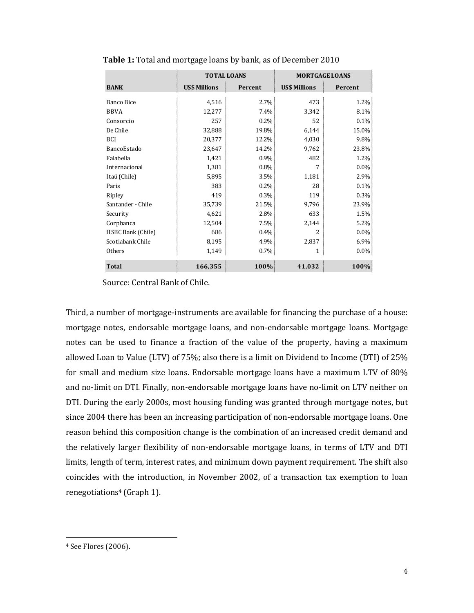|                   | <b>TOTAL LOANS</b>   |         |                      | <b>MORTGAGE LOANS</b> |
|-------------------|----------------------|---------|----------------------|-----------------------|
| <b>BANK</b>       | <b>US\$ Millions</b> | Percent | <b>US\$ Millions</b> | Percent               |
| <b>Banco Bice</b> | 4,516                | $2.7\%$ | 473                  | 1.2%                  |
| <b>BBVA</b>       | 12,277               | 7.4%    | 3,342                | 8.1%                  |
| Consorcio         | 257                  | 0.2%    | 52                   | 0.1%                  |
| De Chile          | 32,888               | 19.8%   | 6,144                | 15.0%                 |
| <b>BCI</b>        | 20,377               | 12.2%   | 4,030                | 9.8%                  |
| BancoEstado       | 23,647               | 14.2%   | 9,762                | 23.8%                 |
| Falabella         | 1,421                | 0.9%    | 482                  | 1.2%                  |
| Internacional     | 1,381                | 0.8%    |                      | $0.0\%$               |
| Itaú (Chile)      | 5,895                | 3.5%    | 1,181                | 2.9%                  |
| Paris             | 383                  | 0.2%    | 28                   | 0.1%                  |
| Ripley            | 419                  | 0.3%    | 119                  | 0.3%                  |
| Santander - Chile | 35,739               | 21.5%   | 9,796                | 23.9%                 |
| Security          | 4,621                | 2.8%    | 633                  | 1.5%                  |
| Corpbanca         | 12,504               | 7.5%    | 2,144                | 5.2%                  |
| HSBC Bank (Chile) | 686                  | 0.4%    | 2                    | 0.0%                  |
| Scotiabank Chile  | 8,195                | 4.9%    | 2,837                | 6.9%                  |
| Others            | 1,149                | $0.7\%$ |                      | $0.0\%$               |
| <b>Total</b>      | 166,355              | 100%    | 41,032               | 100%                  |

**Table 1:** Total and mortgage loans by bank, as of December 2010

Source: Central Bank of Chile.

Third, a number of mortgage-instruments are available for financing the purchase of a house: mortgage notes, endorsable mortgage loans, and non-endorsable mortgage loans. Mortgage notes can be used to finance a fraction of the value of the property, having a maximum allowed Loan to Value (LTV) of 75%; also there is a limit on Dividend to Income (DTI) of 25% for small and medium size loans. Endorsable mortgage loans have a maximum LTV of 80% and no-limit on DTI. Finally, non-endorsable mortgage loans have no-limit on LTV neither on DTI. During the early 2000s, most housing funding was granted through mortgage notes, but since 2004 there has been an increasing participation of non-endorsable mortgage loans. One reason behind this composition change is the combination of an increased credit demand and the relatively larger flexibility of non-endorsable mortgage loans, in terms of LTV and DTI limits, length of term, interest rates, and minimum down payment requirement. The shift also coincides with the introduction, in November 2002, of a transaction tax exemption to loan renegotiations<sup>4</sup> (Graph 1).

l

<sup>4</sup> See Flores (2006).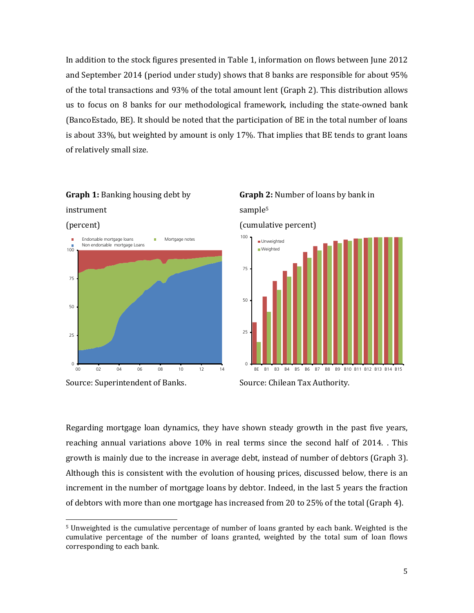In addition to the stock figures presented in Table 1, information on flows between June 2012 and September 2014 (period under study) shows that 8 banks are responsible for about 95% of the total transactions and 93% of the total amount lent (Graph 2). This distribution allows us to focus on 8 banks for our methodological framework, including the state-owned bank (BancoEstado, BE). It should be noted that the participation of BE in the total number of loans is about 33%, but weighted by amount is only 17%. That implies that BE tends to grant loans of relatively small size.



**Graph 1:** Banking housing debt by

l



BE B1 B3 B4 B5 B6 B7 B8 B9 B10 B11 B12 B13 B14 B15



Regarding mortgage loan dynamics, they have shown steady growth in the past five years, reaching annual variations above 10% in real terms since the second half of 2014. . This growth is mainly due to the increase in average debt, instead of number of debtors (Graph 3). Although this is consistent with the evolution of housing prices, discussed below, there is an increment in the number of mortgage loans by debtor. Indeed, in the last 5 years the fraction of debtors with more than one mortgage has increased from 20 to 25% of the total (Graph 4).

0

<sup>5</sup> Unweighted is the cumulative percentage of number of loans granted by each bank. Weighted is the cumulative percentage of the number of loans granted, weighted by the total sum of loan flows corresponding to each bank.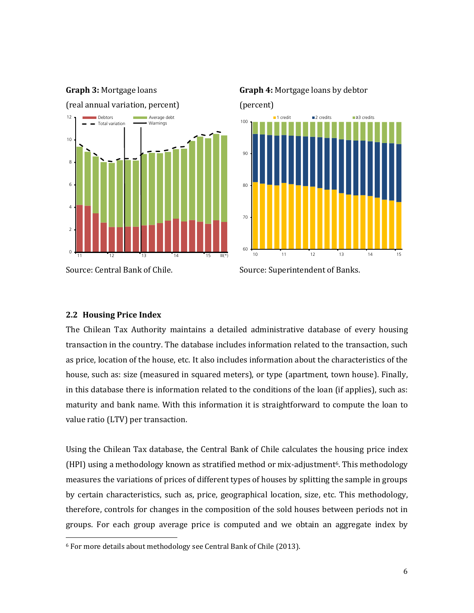

**Graph 4:** Mortgage loans by debtor

(percent)



Source: Central Bank of Chile. Source: Superintendent of Banks.

# **2.2 Housing Price Index**

l

**Graph 3:** Mortgage loans

The Chilean Tax Authority maintains a detailed administrative database of every housing transaction in the country. The database includes information related to the transaction, such as price, location of the house, etc. It also includes information about the characteristics of the house, such as: size (measured in squared meters), or type (apartment, town house). Finally, in this database there is information related to the conditions of the loan (if applies), such as: maturity and bank name. With this information it is straightforward to compute the loan to value ratio (LTV) per transaction.

Using the Chilean Tax database, the Central Bank of Chile calculates the housing price index  $(HPI)$  using a methodology known as stratified method or mix-adjustment<sup>6</sup>. This methodology measures the variations of prices of different types of houses by splitting the sample in groups by certain characteristics, such as, price, geographical location, size, etc. This methodology, therefore, controls for changes in the composition of the sold houses between periods not in groups. For each group average price is computed and we obtain an aggregate index by

<sup>6</sup> For more details about methodology see Central Bank of Chile (2013).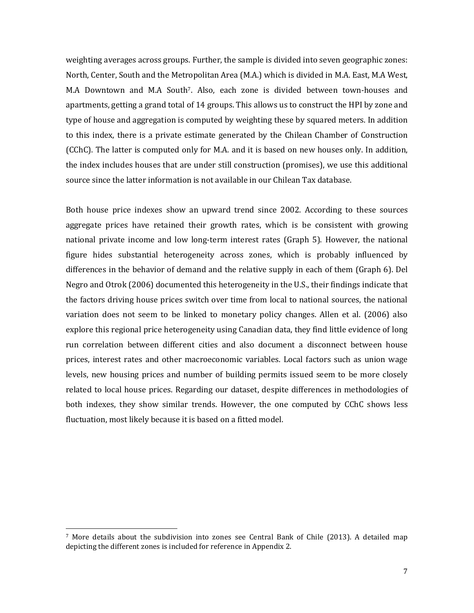weighting averages across groups. Further, the sample is divided into seven geographic zones: North, Center, South and the Metropolitan Area (M.A.) which is divided in M.A. East, M.A West, M.A Downtown and M.A South7. Also, each zone is divided between town-houses and apartments, getting a grand total of 14 groups. This allows us to construct the HPI by zone and type of house and aggregation is computed by weighting these by squared meters. In addition to this index, there is a private estimate generated by the Chilean Chamber of Construction (CChC). The latter is computed only for M.A. and it is based on new houses only. In addition, the index includes houses that are under still construction (promises), we use this additional source since the latter information is not available in our Chilean Tax database.

Both house price indexes show an upward trend since 2002. According to these sources aggregate prices have retained their growth rates, which is be consistent with growing national private income and low long-term interest rates (Graph 5). However, the national figure hides substantial heterogeneity across zones, which is probably influenced by differences in the behavior of demand and the relative supply in each of them (Graph 6). Del Negro and Otrok (2006) documented this heterogeneity in the U.S., their findings indicate that the factors driving house prices switch over time from local to national sources, the national variation does not seem to be linked to monetary policy changes. Allen et al. (2006) also explore this regional price heterogeneity using Canadian data, they find little evidence of long run correlation between different cities and also document a disconnect between house prices, interest rates and other macroeconomic variables. Local factors such as union wage levels, new housing prices and number of building permits issued seem to be more closely related to local house prices. Regarding our dataset, despite differences in methodologies of both indexes, they show similar trends. However, the one computed by CChC shows less fluctuation, most likely because it is based on a fitted model.

l

<sup>7</sup> More details about the subdivision into zones see Central Bank of Chile (2013). A detailed map depicting the different zones is included for reference in Appendix 2.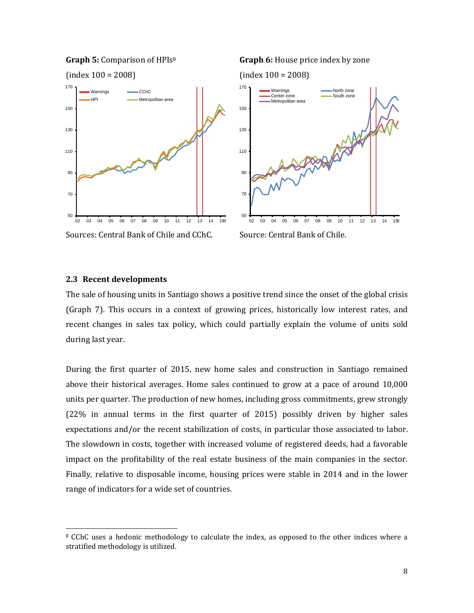

### **2.3 Recent developments**

l

The sale of housing units in Santiago shows a positive trend since the onset of the global crisis (Graph 7). This occurs in a context of growing prices, historically low interest rates, and recent changes in sales tax policy, which could partially explain the volume of units sold during last year.

During the first quarter of 2015, new home sales and construction in Santiago remained above their historical averages. Home sales continued to grow at a pace of around 10,000 units per quarter. The production of new homes, including gross commitments, grew strongly (22% in annual terms in the first quarter of 2015) possibly driven by higher sales expectations and/or the recent stabilization of costs, in particular those associated to labor. The slowdown in costs, together with increased volume of registered deeds, had a favorable impact on the profitability of the real estate business of the main companies in the sector. Finally, relative to disposable income, housing prices were stable in 2014 and in the lower range of indicators for a wide set of countries.

<sup>8</sup> CChC uses a hedonic methodology to calculate the index, as opposed to the other indices where a stratified methodology is utilized.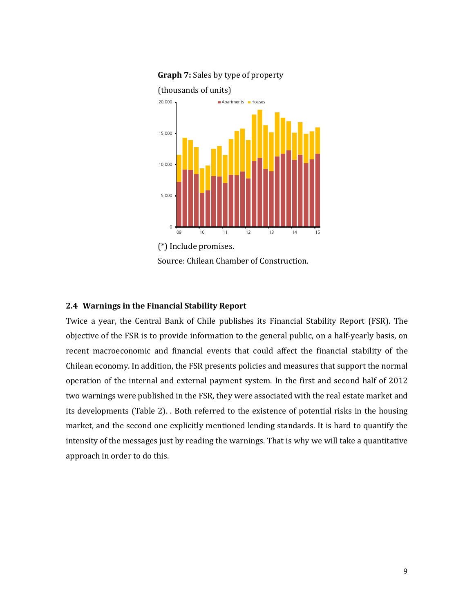

**Graph 7:** Sales by type of property

(\*) Include promises. Source: Chilean Chamber of Construction.

### **2.4 Warnings in the Financial Stability Report**

Twice a year, the Central Bank of Chile publishes its Financial Stability Report (FSR). The objective of the FSR is to provide information to the general public, on a half-yearly basis, on recent macroeconomic and financial events that could affect the financial stability of the Chilean economy. In addition, the FSR presents policies and measures that support the normal operation of the internal and external payment system. In the first and second half of 2012 two warnings were published in the FSR, they were associated with the real estate market and its developments (Table 2). . Both referred to the existence of potential risks in the housing market, and the second one explicitly mentioned lending standards. It is hard to quantify the intensity of the messages just by reading the warnings. That is why we will take a quantitative approach in order to do this.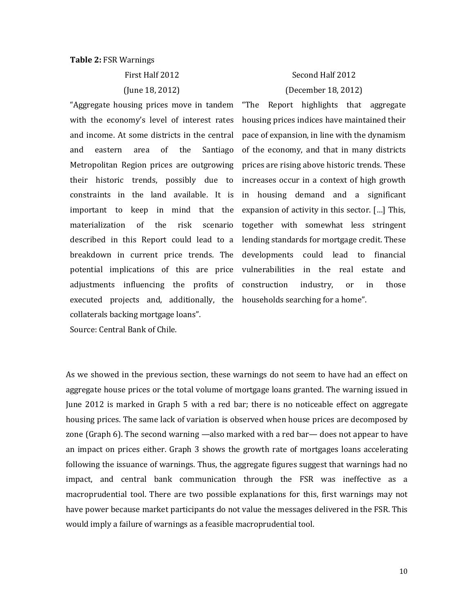#### **Table 2:** FSR Warnings

First Half 2012 (June 18, 2012)

"Aggregate housing prices move in tandem with the economy's level of interest rates and income. At some districts in the central and eastern area of the Santiago Metropolitan Region prices are outgrowing their historic trends, possibly due to constraints in the land available. It is important to keep in mind that the materialization of the risk scenario described in this Report could lead to a breakdown in current price trends. The potential implications of this are price adjustments influencing the profits of executed projects and, additionally, the households searching for a home". collaterals backing mortgage loans".

Source: Central Bank of Chile.

# Second Half 2012 (December 18, 2012)

"The Report highlights that aggregate housing prices indices have maintained their pace of expansion, in line with the dynamism of the economy, and that in many districts prices are rising above historic trends. These increases occur in a context of high growth in housing demand and a significant expansion of activity in this sector. […] This, together with somewhat less stringent lending standards for mortgage credit. These developments could lead to financial vulnerabilities in the real estate and construction industry, or in those

As we showed in the previous section, these warnings do not seem to have had an effect on aggregate house prices or the total volume of mortgage loans granted. The warning issued in June 2012 is marked in Graph 5 with a red bar; there is no noticeable effect on aggregate housing prices. The same lack of variation is observed when house prices are decomposed by zone (Graph 6). The second warning —also marked with a red bar— does not appear to have an impact on prices either. Graph 3 shows the growth rate of mortgages loans accelerating following the issuance of warnings. Thus, the aggregate figures suggest that warnings had no impact, and central bank communication through the FSR was ineffective as a macroprudential tool. There are two possible explanations for this, first warnings may not have power because market participants do not value the messages delivered in the FSR. This would imply a failure of warnings as a feasible macroprudential tool.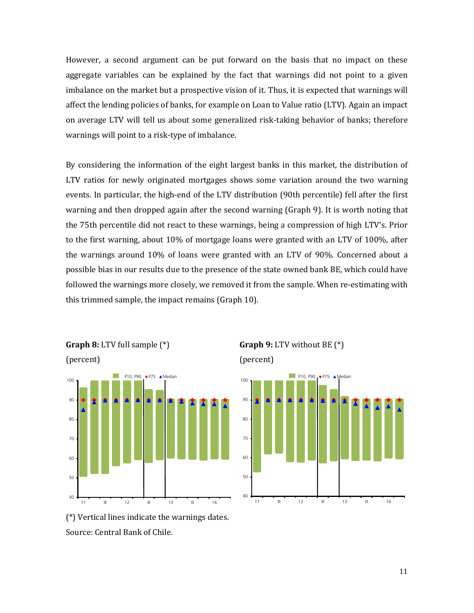However, a second argument can be put forward on the basis that no impact on these aggregate variables can be explained by the fact that warnings did not point to a given imbalance on the market but a prospective vision of it. Thus, it is expected that warnings will affect the lending policies of banks, for example on Loan to Value ratio (LTV). Again an impact on average LTV will tell us about some generalized risk-taking behavior of banks; therefore warnings will point to a risk-type of imbalance.

By considering the information of the eight largest banks in this market, the distribution of LTV ratios for newly originated mortgages shows some variation around the two warning events. In particular, the high-end of the LTV distribution (90th percentile) fell after the first warning and then dropped again after the second warning (Graph 9). It is worth noting that the 75th percentile did not react to these warnings, being a compression of high LTV's. Prior to the first warning, about 10% of mortgage loans were granted with an LTV of 100%, after the warnings around 10% of loans were granted with an LTV of 90%. Concerned about a possible bias in our results due to the presence of the state owned bank BE, which could have followed the warnings more closely, we removed it from the sample. When re-estimating with this trimmed sample, the impact remains (Graph 10).







(\*) Vertical lines indicate the warnings dates. Source: Central Bank of Chile.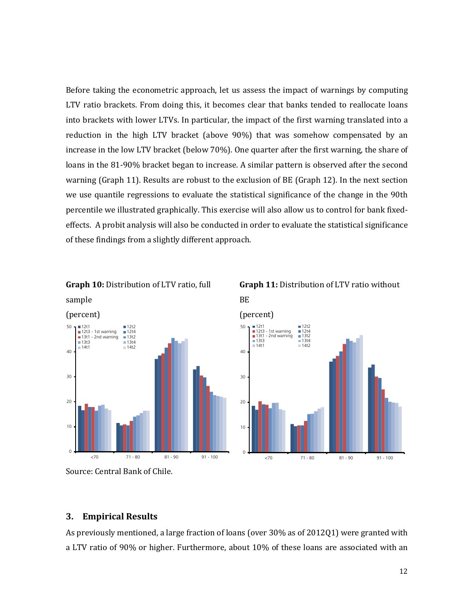Before taking the econometric approach, let us assess the impact of warnings by computing LTV ratio brackets. From doing this, it becomes clear that banks tended to reallocate loans into brackets with lower LTVs. In particular, the impact of the first warning translated into a reduction in the high LTV bracket (above 90%) that was somehow compensated by an increase in the low LTV bracket (below 70%). One quarter after the first warning, the share of loans in the 81-90% bracket began to increase. A similar pattern is observed after the second warning (Graph 11). Results are robust to the exclusion of BE (Graph 12). In the next section we use quantile regressions to evaluate the statistical significance of the change in the 90th percentile we illustrated graphically. This exercise will also allow us to control for bank fixedeffects. A probit analysis will also be conducted in order to evaluate the statistical significance of these findings from a slightly different approach.





BE

**Graph 11:** Distribution of LTV ratio without



# **3. Empirical Results**

As previously mentioned, a large fraction of loans (over 30% as of 2012Q1) were granted with a LTV ratio of 90% or higher. Furthermore, about 10% of these loans are associated with an

Source: Central Bank of Chile.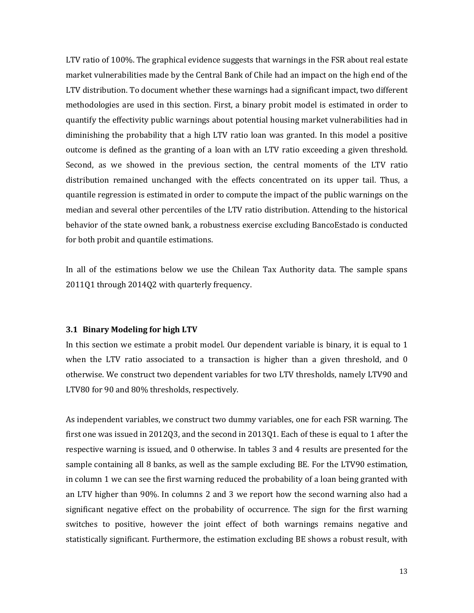LTV ratio of 100%. The graphical evidence suggests that warnings in the FSR about real estate market vulnerabilities made by the Central Bank of Chile had an impact on the high end of the LTV distribution. To document whether these warnings had a significant impact, two different methodologies are used in this section. First, a binary probit model is estimated in order to quantify the effectivity public warnings about potential housing market vulnerabilities had in diminishing the probability that a high LTV ratio loan was granted. In this model a positive outcome is defined as the granting of a loan with an LTV ratio exceeding a given threshold. Second, as we showed in the previous section, the central moments of the LTV ratio distribution remained unchanged with the effects concentrated on its upper tail. Thus, a quantile regression is estimated in order to compute the impact of the public warnings on the median and several other percentiles of the LTV ratio distribution. Attending to the historical behavior of the state owned bank, a robustness exercise excluding BancoEstado is conducted for both probit and quantile estimations.

In all of the estimations below we use the Chilean Tax Authority data. The sample spans 2011Q1 through 2014Q2 with quarterly frequency.

### **3.1 Binary Modeling for high LTV**

In this section we estimate a probit model. Our dependent variable is binary, it is equal to 1 when the LTV ratio associated to a transaction is higher than a given threshold, and 0 otherwise. We construct two dependent variables for two LTV thresholds, namely LTV90 and LTV80 for 90 and 80% thresholds, respectively.

As independent variables, we construct two dummy variables, one for each FSR warning. The first one was issued in 2012Q3, and the second in 2013Q1. Each of these is equal to 1 after the respective warning is issued, and 0 otherwise. In tables 3 and 4 results are presented for the sample containing all 8 banks, as well as the sample excluding BE. For the LTV90 estimation, in column 1 we can see the first warning reduced the probability of a loan being granted with an LTV higher than 90%. In columns 2 and 3 we report how the second warning also had a significant negative effect on the probability of occurrence. The sign for the first warning switches to positive, however the joint effect of both warnings remains negative and statistically significant. Furthermore, the estimation excluding BE shows a robust result, with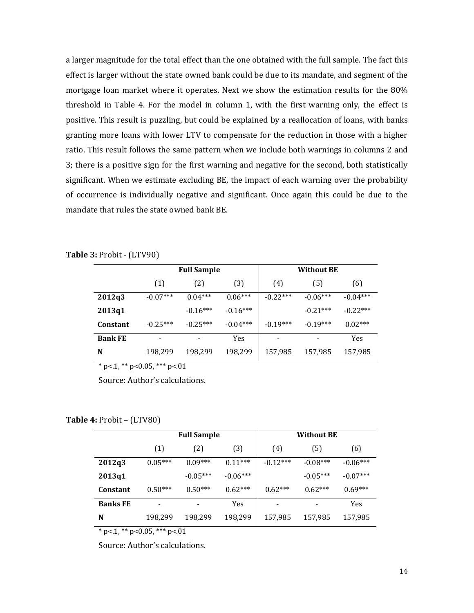a larger magnitude for the total effect than the one obtained with the full sample. The fact this effect is larger without the state owned bank could be due to its mandate, and segment of the mortgage loan market where it operates. Next we show the estimation results for the 80% threshold in Table 4. For the model in column 1, with the first warning only, the effect is positive. This result is puzzling, but could be explained by a reallocation of loans, with banks granting more loans with lower LTV to compensate for the reduction in those with a higher ratio. This result follows the same pattern when we include both warnings in columns 2 and 3; there is a positive sign for the first warning and negative for the second, both statistically significant. When we estimate excluding BE, the impact of each warning over the probability of occurrence is individually negative and significant. Once again this could be due to the mandate that rules the state owned bank BE.

**Table 3:** Probit - (LTV90)

|                 | <b>Full Sample</b> |            |            | <b>Without BE</b> |            |            |
|-----------------|--------------------|------------|------------|-------------------|------------|------------|
|                 | (1)                | (2)        | (3)        | (4)               | (5)        | (6)        |
| 2012q3          | $-0.07***$         | $0.04***$  | $0.06***$  | $-0.22***$        | $-0.06***$ | $-0.04***$ |
| 2013q1          |                    | $-0.16***$ | $-0.16***$ |                   | $-0.21***$ | $-0.22***$ |
| <b>Constant</b> | $-0.25***$         | $-0.25***$ | $-0.04***$ | $-0.19***$        | $-0.19***$ | $0.02***$  |
| <b>Bank FE</b>  |                    |            | <b>Yes</b> |                   |            | Yes        |
| N               | 198,299            | 198,299    | 198,299    | 157,985           | 157,985    | 157,985    |

 $*$  p<.1, \*\* p<0.05, \*\*\* p<.01

Source: Author's calculations.

**Table 4:** Probit – (LTV80)

|                 | <b>Full Sample</b>       |            |            | <b>Without BE</b> |            |            |
|-----------------|--------------------------|------------|------------|-------------------|------------|------------|
|                 | (1)                      | (2)        | (3)        | (4)               | (5)        | (6)        |
| 2012q3          | $0.05***$                | $0.09***$  | $0.11***$  | $-0.12***$        | $-0.08***$ | $-0.06***$ |
| 2013q1          |                          | $-0.05***$ | $-0.06***$ |                   | $-0.05***$ | $-0.07***$ |
| Constant        | $0.50***$                | $0.50***$  | $0.62***$  | $0.62***$         | $0.62***$  | $0.69***$  |
| <b>Banks FE</b> | $\overline{\phantom{0}}$ |            | <b>Yes</b> |                   |            | Yes        |
| N               | 198,299                  | 198,299    | 198,299    | 157,985           | 157,985    | 157,985    |

 $*$  p<.1,  $*$  p < 0.05,  $**$  p < 0.01

Source: Author's calculations.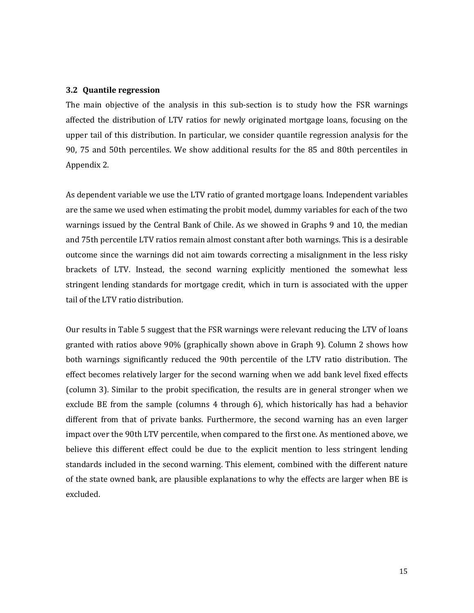#### **3.2 Quantile regression**

The main objective of the analysis in this sub-section is to study how the FSR warnings affected the distribution of LTV ratios for newly originated mortgage loans, focusing on the upper tail of this distribution. In particular, we consider quantile regression analysis for the 90, 75 and 50th percentiles. We show additional results for the 85 and 80th percentiles in Appendix 2.

As dependent variable we use the LTV ratio of granted mortgage loans. Independent variables are the same we used when estimating the probit model, dummy variables for each of the two warnings issued by the Central Bank of Chile. As we showed in Graphs 9 and 10, the median and 75th percentile LTV ratios remain almost constant after both warnings. This is a desirable outcome since the warnings did not aim towards correcting a misalignment in the less risky brackets of LTV. Instead, the second warning explicitly mentioned the somewhat less stringent lending standards for mortgage credit, which in turn is associated with the upper tail of the LTV ratio distribution.

Our results in Table 5 suggest that the FSR warnings were relevant reducing the LTV of loans granted with ratios above 90% (graphically shown above in Graph 9). Column 2 shows how both warnings significantly reduced the 90th percentile of the LTV ratio distribution. The effect becomes relatively larger for the second warning when we add bank level fixed effects (column 3). Similar to the probit specification, the results are in general stronger when we exclude BE from the sample (columns 4 through 6), which historically has had a behavior different from that of private banks. Furthermore, the second warning has an even larger impact over the 90th LTV percentile, when compared to the first one. As mentioned above, we believe this different effect could be due to the explicit mention to less stringent lending standards included in the second warning. This element, combined with the different nature of the state owned bank, are plausible explanations to why the effects are larger when BE is excluded.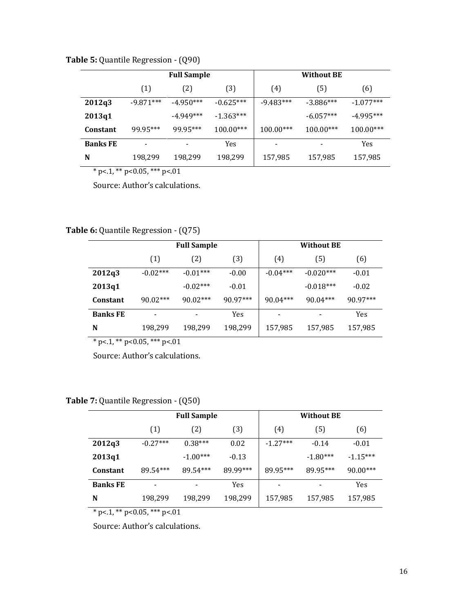**Table 5:** Quantile Regression - (Q90)

|                 | <b>Full Sample</b> |             |             | <b>Without BE</b> |             |             |  |
|-----------------|--------------------|-------------|-------------|-------------------|-------------|-------------|--|
|                 | (1)                | (2)         | (3)         | (4)               | (5)         | (6)         |  |
| 2012q3          | $-9.871***$        | $-4.950***$ | $-0.625***$ | $-9.483***$       | $-3.886***$ | $-1.077***$ |  |
| 2013q1          |                    | $-4.949***$ | $-1.363***$ |                   | $-6.057***$ | $-4.995***$ |  |
| Constant        | 99.95***           | 99.95***    | $100.00***$ | $100.00***$       | $100.00***$ | 100.00***   |  |
| <b>Banks FE</b> |                    |             | Yes         |                   |             | <b>Yes</b>  |  |
| N               | 198,299            | 198,299     | 198,299     | 157,985           | 157,985     | 157,985     |  |

 $*$  p<.1, \*\* p<0.05, \*\*\* p<.01

Source: Author's calculations.

**Table 6:** Quantile Regression - (Q75)

|                 | <b>Full Sample</b> |            |            | <b>Without BE</b> |                          |            |
|-----------------|--------------------|------------|------------|-------------------|--------------------------|------------|
|                 | (1)                | (2)        | (3)        | (4)               | (5)                      | (6)        |
| 2012q3          | $-0.02***$         | $-0.01***$ | $-0.00$    | $-0.04***$        | $-0.020***$              | $-0.01$    |
| 2013q1          |                    | $-0.02***$ | $-0.01$    |                   | $-0.018***$              | $-0.02$    |
| Constant        | $90.02***$         | $90.02***$ | $90.97***$ | $90.04***$        | $90.04***$               | $90.97***$ |
| <b>Banks FE</b> | -                  |            | Yes        |                   | $\overline{\phantom{a}}$ | Yes        |
| N               | 198,299            | 198,299    | 198,299    | 157,985           | 157,985                  | 157,985    |

 $*$  p<.1, \*\* p<0.05, \*\*\* p<.01

Source: Author's calculations.

|                 | <b>Full Sample</b> |            |          |            | <b>Without BE</b> |            |
|-----------------|--------------------|------------|----------|------------|-------------------|------------|
|                 | (1)                | (2)        | (3)      | (4)        | (5)               | (6)        |
| 2012q3          | $-0.27***$         | $0.38***$  | 0.02     | $-1.27***$ | $-0.14$           | $-0.01$    |
| 2013q1          |                    | $-1.00***$ | $-0.13$  |            | $-1.80***$        | $-1.15***$ |
| <b>Constant</b> | 89.54***           | 89.54***   | 89.99*** | 89.95***   | 89.95***          | $90.00***$ |
| <b>Banks FE</b> | ۰                  |            | Yes      |            |                   | <b>Yes</b> |
| N               | 198,299            | 198,299    | 198,299  | 157,985    | 157,985           | 157,985    |

**Table 7:** Quantile Regression - (Q50)

 $*$  p<1, \*\* p<0.05, \*\*\* p<01

Source: Author's calculations.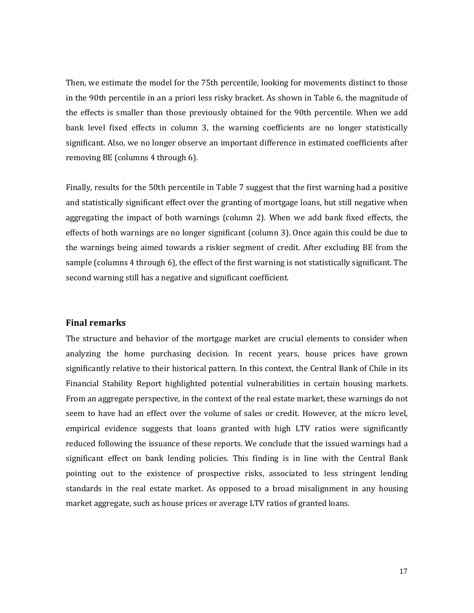Then, we estimate the model for the 75th percentile, looking for movements distinct to those in the 90th percentile in an a priori less risky bracket. As shown in Table 6, the magnitude of the effects is smaller than those previously obtained for the 90th percentile. When we add bank level fixed effects in column 3, the warning coefficients are no longer statistically significant. Also, we no longer observe an important difference in estimated coefficients after removing BE (columns 4 through 6).

Finally, results for the 50th percentile in Table 7 suggest that the first warning had a positive and statistically significant effect over the granting of mortgage loans, but still negative when aggregating the impact of both warnings (column 2). When we add bank fixed effects, the effects of both warnings are no longer significant (column 3). Once again this could be due to the warnings being aimed towards a riskier segment of credit. After excluding BE from the sample (columns 4 through 6), the effect of the first warning is not statistically significant. The second warning still has a negative and significant coefficient.

### **Final remarks**

The structure and behavior of the mortgage market are crucial elements to consider when analyzing the home purchasing decision. In recent years, house prices have grown significantly relative to their historical pattern. In this context, the Central Bank of Chile in its Financial Stability Report highlighted potential vulnerabilities in certain housing markets. From an aggregate perspective, in the context of the real estate market, these warnings do not seem to have had an effect over the volume of sales or credit. However, at the micro level, empirical evidence suggests that loans granted with high LTV ratios were significantly reduced following the issuance of these reports. We conclude that the issued warnings had a significant effect on bank lending policies. This finding is in line with the Central Bank pointing out to the existence of prospective risks, associated to less stringent lending standards in the real estate market. As opposed to a broad misalignment in any housing market aggregate, such as house prices or average LTV ratios of granted loans.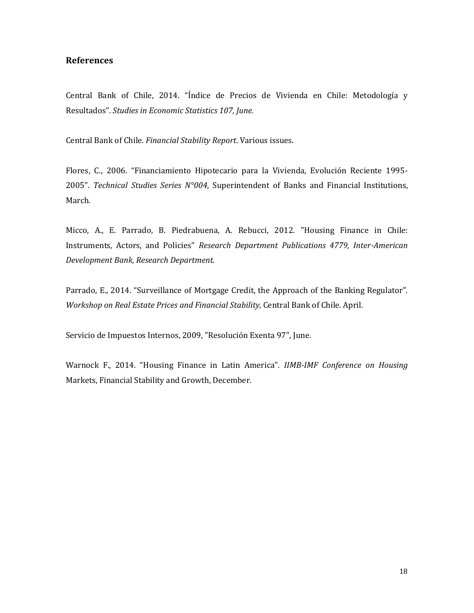# **References**

Central Bank of Chile, 2014. "Índice de Precios de Vivienda en Chile: Metodología y Resultados". *Studies in Economic Statistics 107, June.*

Central Bank of Chile. *Financial Stability Report*. Various issues.

Flores, C., 2006. "Financiamiento Hipotecario para la Vivienda, Evolución Reciente 1995- 2005". *Technical Studies Series N°004*, Superintendent of Banks and Financial Institutions, March.

Micco, A., E. Parrado, B. Piedrabuena, A. Rebucci, 2012. "Housing Finance in Chile: Instruments, Actors, and Policies" *Research Department Publications 4779, Inter-American Development Bank, Research Department.*

Parrado, E., 2014. "Surveillance of Mortgage Credit, the Approach of the Banking Regulator". *Workshop on Real Estate Prices and Financial Stability,* Central Bank of Chile. April.

Servicio de Impuestos Internos, 2009, "Resolución Exenta 97", June.

Warnock F., 2014. "Housing Finance in Latin America". *IIMB-IMF Conference on Housing*  Markets, Financial Stability and Growth, December.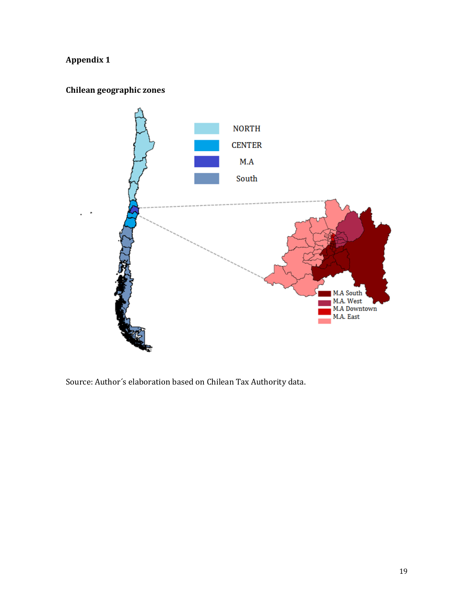# **Appendix 1**

# **Chilean geographic zones**



Source: Author´s elaboration based on Chilean Tax Authority data.